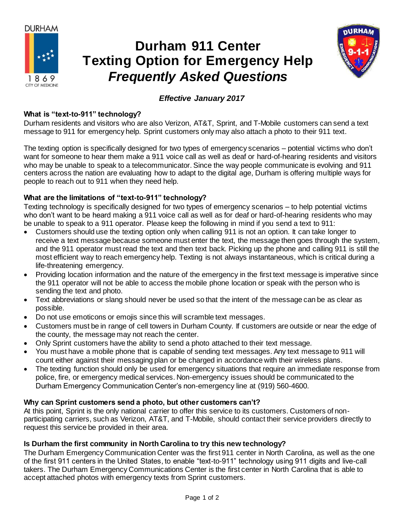

# **Durham 911 Center Texting Option for Emergency Help**  *Frequently Asked Questions*



## *Effective January 2017*

### **What is "text-to-911" technology?**

Durham residents and visitors who are also Verizon, AT&T, Sprint, and T-Mobile customers can send a text message to 911 for emergency help. Sprint customers only may also attach a photo to their 911 text.

The texting option is specifically designed for two types of emergency scenarios – potential victims who don't want for someone to hear them make a 911 voice call as well as deaf or hard-of-hearing residents and visitors who may be unable to speak to a telecommunicator. Since the way people communicate is evolving and 911 centers across the nation are evaluating how to adapt to the digital age, Durham is offering multiple ways for people to reach out to 911 when they need help.

#### **What are the limitations of "text-to-911" technology?**

Texting technology is specifically designed for two types of emergency scenarios – to help potential victims who don't want to be heard making a 911 voice call as well as for deaf or hard-of-hearing residents who may be unable to speak to a 911 operator. Please keep the following in mind if you send a text to 911:

- Customers should use the texting option only when calling 911 is not an option. It can take longer to receive a text message because someone must enter the text, the message then goes through the system, and the 911 operator must read the text and then text back. Picking up the phone and calling 911 is still the most efficient way to reach emergency help. Texting is not always instantaneous, which is critical during a life-threatening emergency.
- Providing location information and the nature of the emergency in the first text message is imperative since the 911 operator will not be able to access the mobile phone location or speak with the person who is sending the text and photo.
- Text abbreviations or slang should never be used so that the intent of the message can be as clear as possible.
- Do not use emoticons or emojis since this will scramble text messages.
- Customers must be in range of cell towers in Durham County. If customers are outside or near the edge of the county, the message may not reach the center.
- Only Sprint customers have the ability to send a photo attached to their text message.
- You must have a mobile phone that is capable of sending text messages. Any text message to 911 will count either against their messaging plan or be charged in accordance with their wireless plans.
- The texting function should only be used for emergency situations that require an immediate response from police, fire, or emergency medical services. Non-emergency issues should be communicated to the Durham Emergency Communication Center's non-emergency line at (919) 560-4600.

#### **Why can Sprint customers send a photo, but other customers can't?**

At this point, Sprint is the only national carrier to offer this service to its customers. Customers of nonparticipating carriers, such as Verizon, AT&T, and T-Mobile, should contact their service providers directly to request this service be provided in their area.

#### **Is Durham the first community in North Carolina to try this new technology?**

The Durham Emergency Communication Center was the first 911 center in North Carolina, as well as the one of the first 911 centers in the United States, to enable "text-to-911" technology using 911 digits and live-call takers. The Durham Emergency Communications Center is the first center in North Carolina that is able to accept attached photos with emergency texts from Sprint customers.